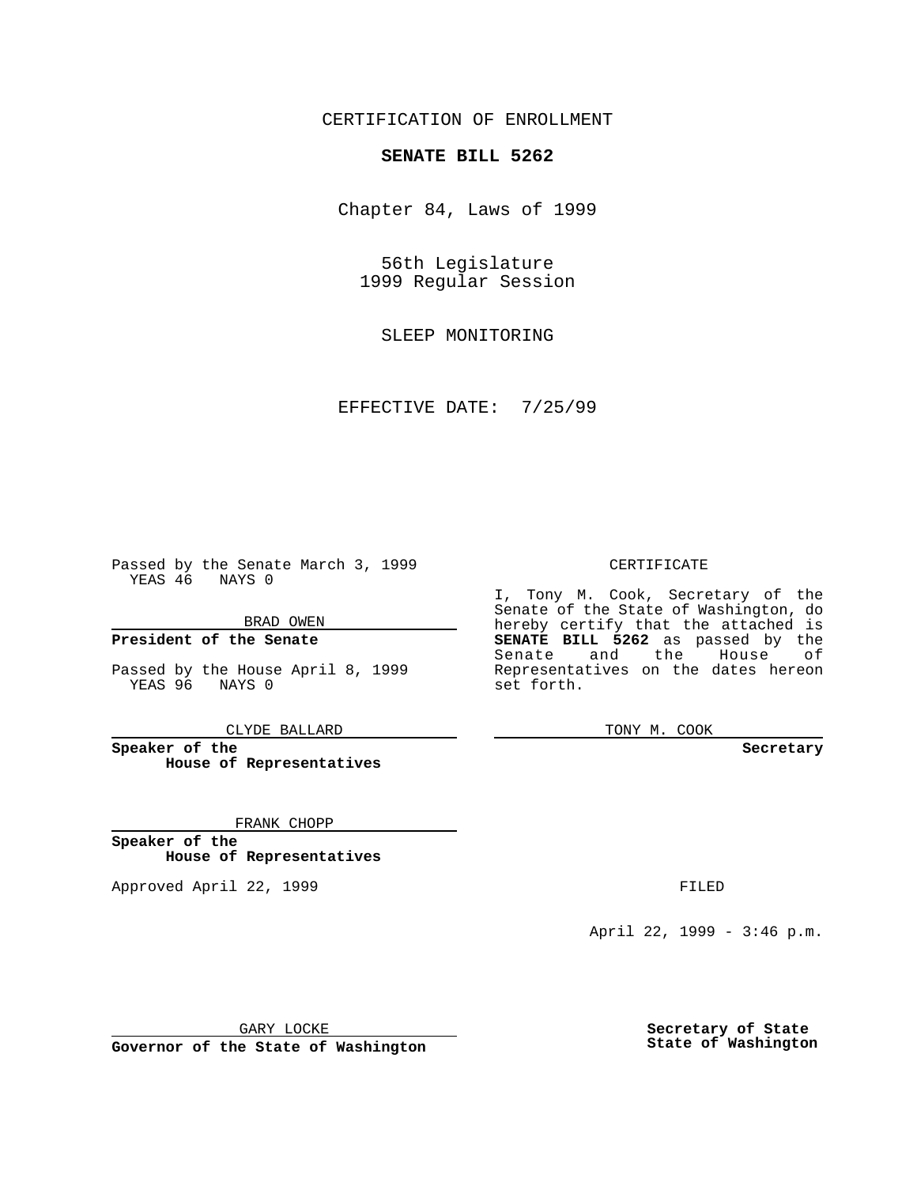CERTIFICATION OF ENROLLMENT

# **SENATE BILL 5262**

Chapter 84, Laws of 1999

56th Legislature 1999 Regular Session

SLEEP MONITORING

EFFECTIVE DATE: 7/25/99

Passed by the Senate March 3, 1999 YEAS 46 NAYS 0

BRAD OWEN

**President of the Senate**

Passed by the House April 8, 1999 YEAS 96 NAYS 0

CLYDE BALLARD

**Speaker of the House of Representatives**

FRANK CHOPP

**Speaker of the House of Representatives**

Approved April 22, 1999 **FILED** 

### CERTIFICATE

I, Tony M. Cook, Secretary of the Senate of the State of Washington, do hereby certify that the attached is **SENATE BILL 5262** as passed by the Senate and the House of Representatives on the dates hereon set forth.

TONY M. COOK

#### **Secretary**

April 22, 1999 - 3:46 p.m.

GARY LOCKE

**Governor of the State of Washington**

**Secretary of State State of Washington**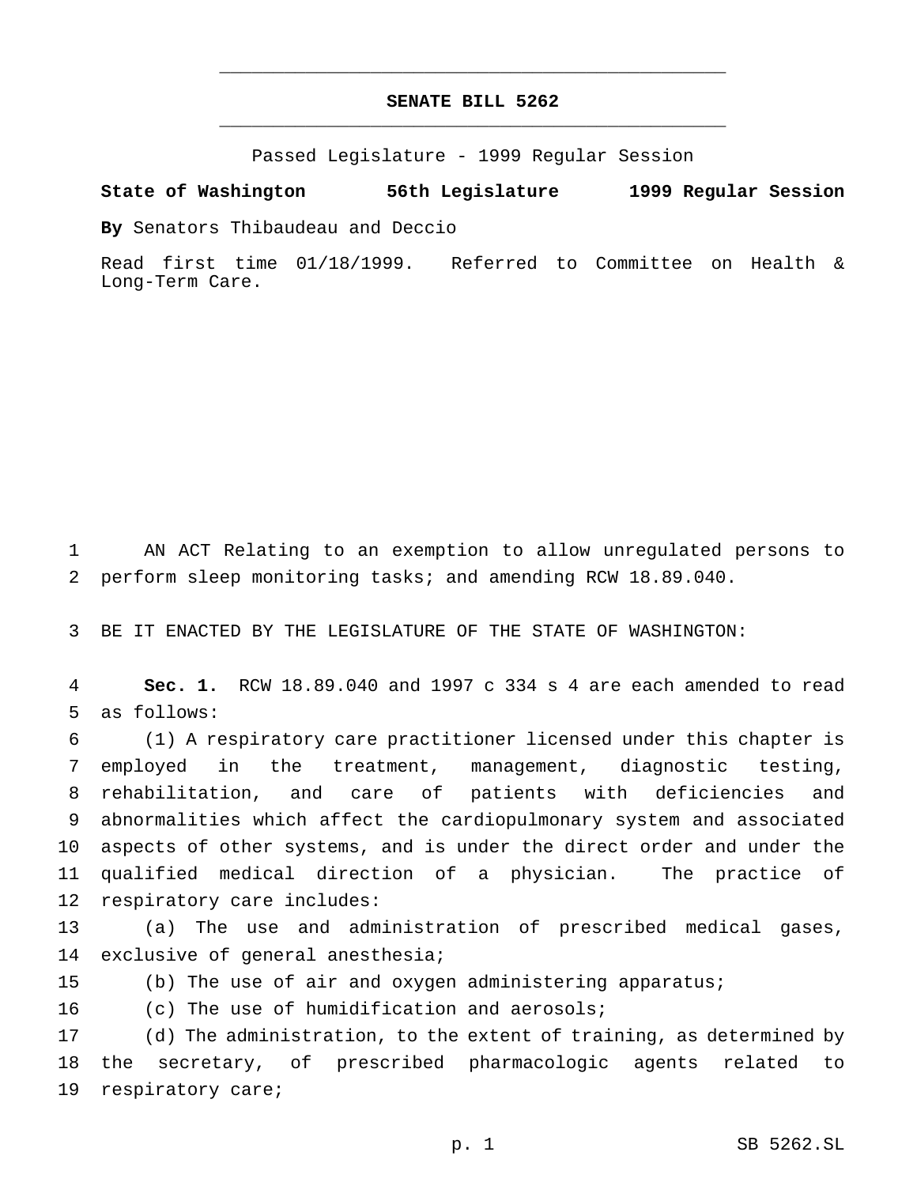# **SENATE BILL 5262** \_\_\_\_\_\_\_\_\_\_\_\_\_\_\_\_\_\_\_\_\_\_\_\_\_\_\_\_\_\_\_\_\_\_\_\_\_\_\_\_\_\_\_\_\_\_\_

\_\_\_\_\_\_\_\_\_\_\_\_\_\_\_\_\_\_\_\_\_\_\_\_\_\_\_\_\_\_\_\_\_\_\_\_\_\_\_\_\_\_\_\_\_\_\_

Passed Legislature - 1999 Regular Session

### **State of Washington 56th Legislature 1999 Regular Session**

**By** Senators Thibaudeau and Deccio

Read first time 01/18/1999. Referred to Committee on Health & Long-Term Care.

 AN ACT Relating to an exemption to allow unregulated persons to perform sleep monitoring tasks; and amending RCW 18.89.040.

BE IT ENACTED BY THE LEGISLATURE OF THE STATE OF WASHINGTON:

 **Sec. 1.** RCW 18.89.040 and 1997 c 334 s 4 are each amended to read as follows:

 (1) A respiratory care practitioner licensed under this chapter is employed in the treatment, management, diagnostic testing, rehabilitation, and care of patients with deficiencies and abnormalities which affect the cardiopulmonary system and associated aspects of other systems, and is under the direct order and under the qualified medical direction of a physician. The practice of respiratory care includes:

 (a) The use and administration of prescribed medical gases, exclusive of general anesthesia;

(b) The use of air and oxygen administering apparatus;

16 (c) The use of humidification and aerosols;

 (d) The administration, to the extent of training, as determined by the secretary, of prescribed pharmacologic agents related to respiratory care;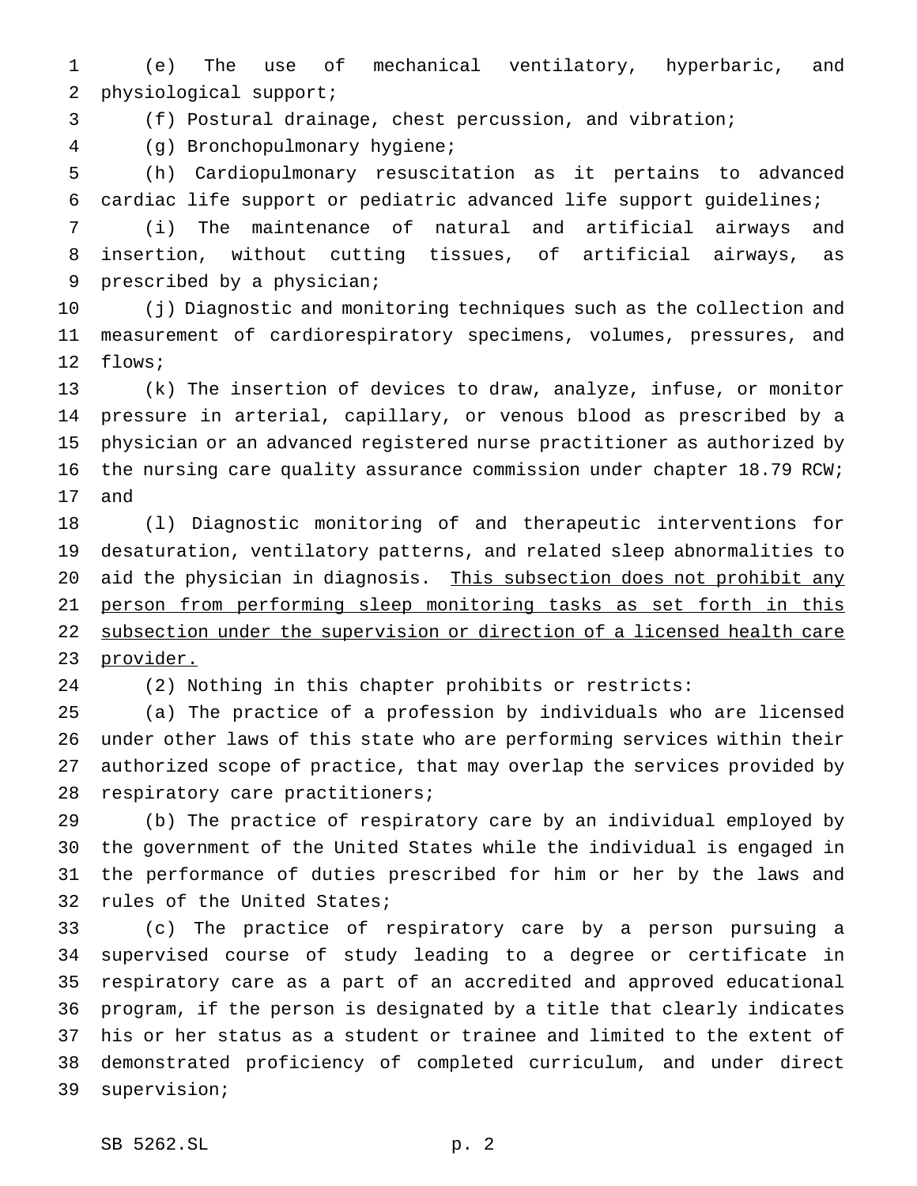(e) The use of mechanical ventilatory, hyperbaric, and physiological support;

(f) Postural drainage, chest percussion, and vibration;

(g) Bronchopulmonary hygiene;

 (h) Cardiopulmonary resuscitation as it pertains to advanced cardiac life support or pediatric advanced life support guidelines;

 (i) The maintenance of natural and artificial airways and insertion, without cutting tissues, of artificial airways, as prescribed by a physician;

 (j) Diagnostic and monitoring techniques such as the collection and measurement of cardiorespiratory specimens, volumes, pressures, and flows;

 (k) The insertion of devices to draw, analyze, infuse, or monitor pressure in arterial, capillary, or venous blood as prescribed by a physician or an advanced registered nurse practitioner as authorized by the nursing care quality assurance commission under chapter 18.79 RCW; and

 (l) Diagnostic monitoring of and therapeutic interventions for desaturation, ventilatory patterns, and related sleep abnormalities to 20 aid the physician in diagnosis. This subsection does not prohibit any person from performing sleep monitoring tasks as set forth in this subsection under the supervision or direction of a licensed health care 23 provider.

(2) Nothing in this chapter prohibits or restricts:

 (a) The practice of a profession by individuals who are licensed under other laws of this state who are performing services within their authorized scope of practice, that may overlap the services provided by respiratory care practitioners;

 (b) The practice of respiratory care by an individual employed by the government of the United States while the individual is engaged in the performance of duties prescribed for him or her by the laws and rules of the United States;

 (c) The practice of respiratory care by a person pursuing a supervised course of study leading to a degree or certificate in respiratory care as a part of an accredited and approved educational program, if the person is designated by a title that clearly indicates his or her status as a student or trainee and limited to the extent of demonstrated proficiency of completed curriculum, and under direct supervision;